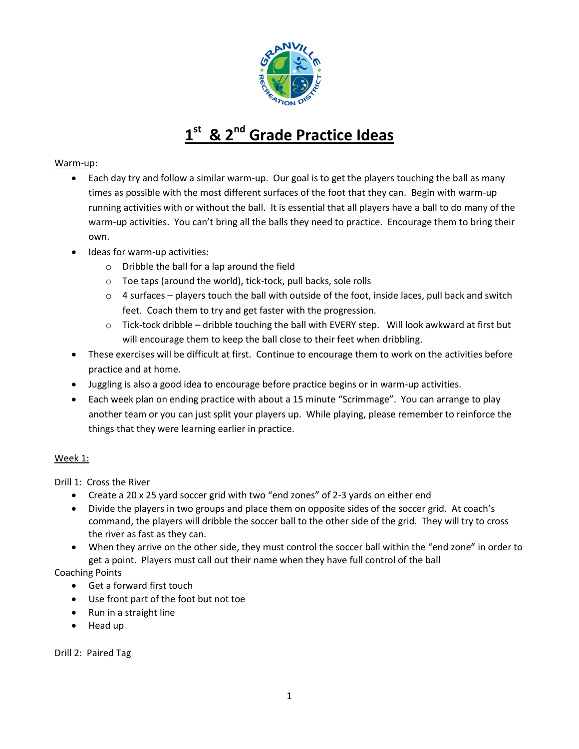

# **1 st & 2nd Grade Practice Ideas**

### Warm-up:

- Each day try and follow a similar warm-up. Our goal is to get the players touching the ball as many times as possible with the most different surfaces of the foot that they can. Begin with warm-up running activities with or without the ball. It is essential that all players have a ball to do many of the warm-up activities. You can't bring all the balls they need to practice. Encourage them to bring their own.
- Ideas for warm-up activities:
	- o Dribble the ball for a lap around the field
	- o Toe taps (around the world), tick-tock, pull backs, sole rolls
	- $\circ$  4 surfaces players touch the ball with outside of the foot, inside laces, pull back and switch feet. Coach them to try and get faster with the progression.
	- $\circ$  Tick-tock dribble dribble touching the ball with EVERY step. Will look awkward at first but will encourage them to keep the ball close to their feet when dribbling.
- These exercises will be difficult at first. Continue to encourage them to work on the activities before practice and at home.
- Juggling is also a good idea to encourage before practice begins or in warm-up activities.
- Each week plan on ending practice with about a 15 minute "Scrimmage". You can arrange to play another team or you can just split your players up. While playing, please remember to reinforce the things that they were learning earlier in practice.

#### Week 1:

Drill 1: Cross the River

- Create a 20 x 25 yard soccer grid with two "end zones" of 2-3 yards on either end
- Divide the players in two groups and place them on opposite sides of the soccer grid. At coach's command, the players will dribble the soccer ball to the other side of the grid. They will try to cross the river as fast as they can.
- When they arrive on the other side, they must control the soccer ball within the "end zone" in order to get a point. Players must call out their name when they have full control of the ball

Coaching Points

- Get a forward first touch
- Use front part of the foot but not toe
- Run in a straight line
- Head up

Drill 2: Paired Tag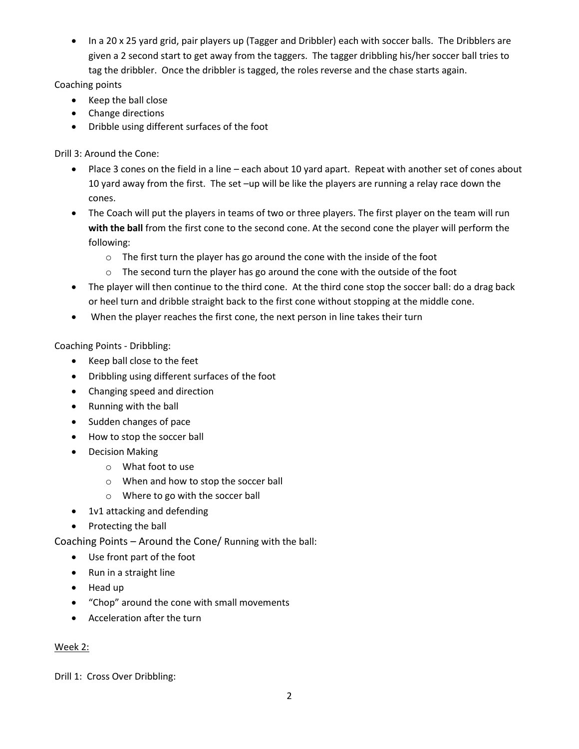• In a 20 x 25 yard grid, pair players up (Tagger and Dribbler) each with soccer balls. The Dribblers are given a 2 second start to get away from the taggers. The tagger dribbling his/her soccer ball tries to tag the dribbler. Once the dribbler is tagged, the roles reverse and the chase starts again.

Coaching points

- Keep the ball close
- Change directions
- Dribble using different surfaces of the foot

Drill 3: Around the Cone:

- Place 3 cones on the field in a line each about 10 yard apart. Repeat with another set of cones about 10 yard away from the first. The set –up will be like the players are running a relay race down the cones.
- The Coach will put the players in teams of two or three players. The first player on the team will run **with the ball** from the first cone to the second cone. At the second cone the player will perform the following:
	- o The first turn the player has go around the cone with the inside of the foot
	- $\circ$  The second turn the player has go around the cone with the outside of the foot
- The player will then continue to the third cone. At the third cone stop the soccer ball: do a drag back or heel turn and dribble straight back to the first cone without stopping at the middle cone.
- When the player reaches the first cone, the next person in line takes their turn

Coaching Points - Dribbling:

- Keep ball close to the feet
- Dribbling using different surfaces of the foot
- Changing speed and direction
- Running with the ball
- Sudden changes of pace
- How to stop the soccer ball
- Decision Making
	- o What foot to use
	- o When and how to stop the soccer ball
	- o Where to go with the soccer ball
- 1v1 attacking and defending
- Protecting the ball

Coaching Points – Around the Cone/ Running with the ball:

- Use front part of the foot
- Run in a straight line
- Head up
- "Chop" around the cone with small movements
- Acceleration after the turn

# Week 2:

Drill 1: Cross Over Dribbling: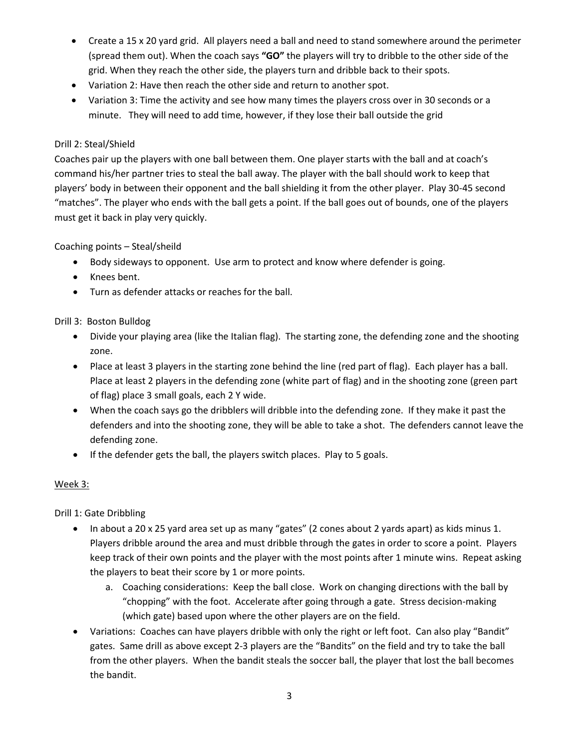- Create a 15 x 20 yard grid. All players need a ball and need to stand somewhere around the perimeter (spread them out). When the coach says **"GO"** the players will try to dribble to the other side of the grid. When they reach the other side, the players turn and dribble back to their spots.
- Variation 2: Have then reach the other side and return to another spot.
- Variation 3: Time the activity and see how many times the players cross over in 30 seconds or a minute. They will need to add time, however, if they lose their ball outside the grid

#### Drill 2: Steal/Shield

Coaches pair up the players with one ball between them. One player starts with the ball and at coach's command his/her partner tries to steal the ball away. The player with the ball should work to keep that players' body in between their opponent and the ball shielding it from the other player. Play 30-45 second "matches". The player who ends with the ball gets a point. If the ball goes out of bounds, one of the players must get it back in play very quickly.

### Coaching points – Steal/sheild

- Body sideways to opponent. Use arm to protect and know where defender is going.
- Knees bent.
- Turn as defender attacks or reaches for the ball.

#### Drill 3: Boston Bulldog

- Divide your playing area (like the Italian flag). The starting zone, the defending zone and the shooting zone.
- Place at least 3 players in the starting zone behind the line (red part of flag). Each player has a ball. Place at least 2 players in the defending zone (white part of flag) and in the shooting zone (green part of flag) place 3 small goals, each 2 Y wide.
- When the coach says go the dribblers will dribble into the defending zone. If they make it past the defenders and into the shooting zone, they will be able to take a shot. The defenders cannot leave the defending zone.
- If the defender gets the ball, the players switch places. Play to 5 goals.

#### Week 3:

Drill 1: Gate Dribbling

- In about a 20 x 25 yard area set up as many "gates" (2 cones about 2 yards apart) as kids minus 1. Players dribble around the area and must dribble through the gates in order to score a point. Players keep track of their own points and the player with the most points after 1 minute wins. Repeat asking the players to beat their score by 1 or more points.
	- a. Coaching considerations: Keep the ball close. Work on changing directions with the ball by "chopping" with the foot. Accelerate after going through a gate. Stress decision-making (which gate) based upon where the other players are on the field.
- Variations: Coaches can have players dribble with only the right or left foot. Can also play "Bandit" gates. Same drill as above except 2-3 players are the "Bandits" on the field and try to take the ball from the other players. When the bandit steals the soccer ball, the player that lost the ball becomes the bandit.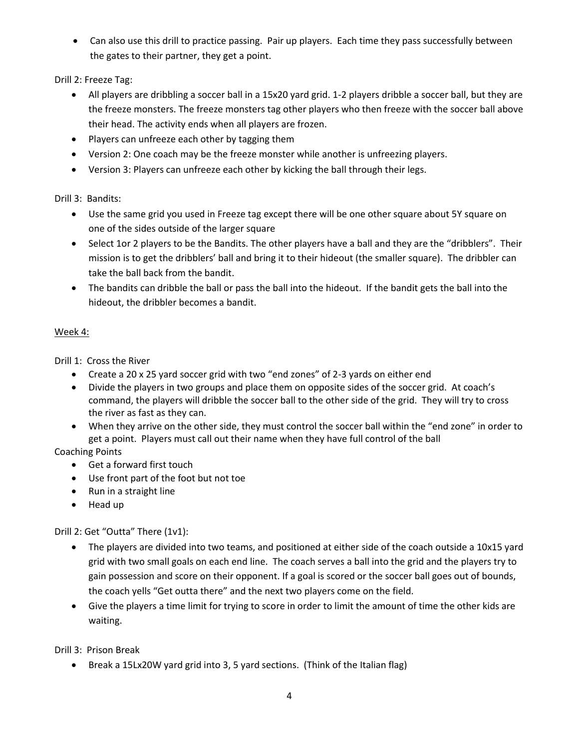• Can also use this drill to practice passing. Pair up players. Each time they pass successfully between the gates to their partner, they get a point.

Drill 2: Freeze Tag:

- All players are dribbling a soccer ball in a 15x20 yard grid. 1-2 players dribble a soccer ball, but they are the freeze monsters. The freeze monsters tag other players who then freeze with the soccer ball above their head. The activity ends when all players are frozen.
- Players can unfreeze each other by tagging them
- Version 2: One coach may be the freeze monster while another is unfreezing players.
- Version 3: Players can unfreeze each other by kicking the ball through their legs.

Drill 3: Bandits:

- Use the same grid you used in Freeze tag except there will be one other square about 5Y square on one of the sides outside of the larger square
- Select 1or 2 players to be the Bandits. The other players have a ball and they are the "dribblers". Their mission is to get the dribblers' ball and bring it to their hideout (the smaller square). The dribbler can take the ball back from the bandit.
- The bandits can dribble the ball or pass the ball into the hideout. If the bandit gets the ball into the hideout, the dribbler becomes a bandit.

### Week 4:

Drill 1: Cross the River

- Create a 20 x 25 yard soccer grid with two "end zones" of 2-3 yards on either end
- Divide the players in two groups and place them on opposite sides of the soccer grid. At coach's command, the players will dribble the soccer ball to the other side of the grid. They will try to cross the river as fast as they can.
- When they arrive on the other side, they must control the soccer ball within the "end zone" in order to get a point. Players must call out their name when they have full control of the ball

Coaching Points

- Get a forward first touch
- Use front part of the foot but not toe
- Run in a straight line
- Head up

Drill 2: Get "Outta" There (1v1):

- The players are divided into two teams, and positioned at either side of the coach outside a 10x15 yard grid with two small goals on each end line. The coach serves a ball into the grid and the players try to gain possession and score on their opponent. If a goal is scored or the soccer ball goes out of bounds, the coach yells "Get outta there" and the next two players come on the field.
- Give the players a time limit for trying to score in order to limit the amount of time the other kids are waiting.

Drill 3: Prison Break

Break a 15Lx20W yard grid into 3, 5 yard sections. (Think of the Italian flag)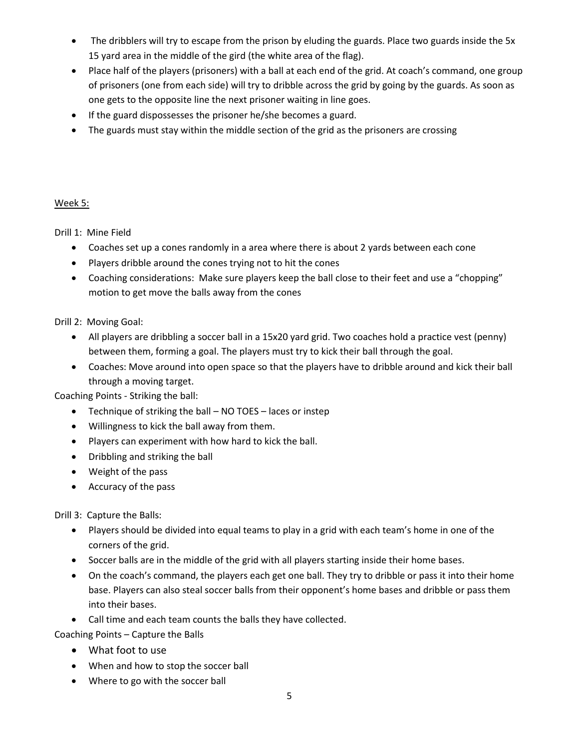- The dribblers will try to escape from the prison by eluding the guards. Place two guards inside the 5x 15 yard area in the middle of the gird (the white area of the flag).
- Place half of the players (prisoners) with a ball at each end of the grid. At coach's command, one group of prisoners (one from each side) will try to dribble across the grid by going by the guards. As soon as one gets to the opposite line the next prisoner waiting in line goes.
- If the guard dispossesses the prisoner he/she becomes a guard.
- The guards must stay within the middle section of the grid as the prisoners are crossing

#### Week 5:

Drill 1: Mine Field

- Coaches set up a cones randomly in a area where there is about 2 yards between each cone
- Players dribble around the cones trying not to hit the cones
- Coaching considerations: Make sure players keep the ball close to their feet and use a "chopping" motion to get move the balls away from the cones

Drill 2: Moving Goal:

- All players are dribbling a soccer ball in a 15x20 yard grid. Two coaches hold a practice vest (penny) between them, forming a goal. The players must try to kick their ball through the goal.
- Coaches: Move around into open space so that the players have to dribble around and kick their ball through a moving target.

Coaching Points - Striking the ball:

- Technique of striking the ball NO TOES laces or instep
- Willingness to kick the ball away from them.
- Players can experiment with how hard to kick the ball.
- Dribbling and striking the ball
- Weight of the pass
- Accuracy of the pass

Drill 3: Capture the Balls:

- Players should be divided into equal teams to play in a grid with each team's home in one of the corners of the grid.
- Soccer balls are in the middle of the grid with all players starting inside their home bases.
- On the coach's command, the players each get one ball. They try to dribble or pass it into their home base. Players can also steal soccer balls from their opponent's home bases and dribble or pass them into their bases.
- Call time and each team counts the balls they have collected.

Coaching Points – Capture the Balls

- What foot to use
- When and how to stop the soccer ball
- Where to go with the soccer ball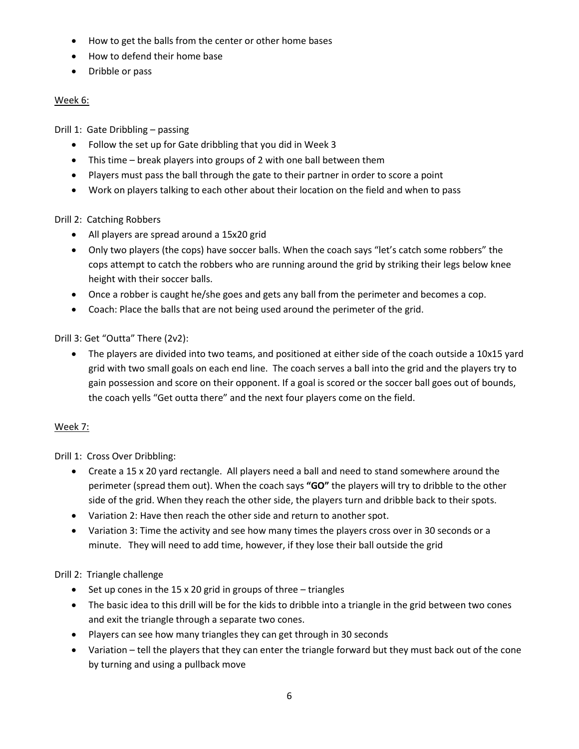- How to get the balls from the center or other home bases
- How to defend their home base
- Dribble or pass

## Week 6:

Drill 1: Gate Dribbling – passing

- Follow the set up for Gate dribbling that you did in Week 3
- This time break players into groups of 2 with one ball between them
- Players must pass the ball through the gate to their partner in order to score a point
- Work on players talking to each other about their location on the field and when to pass

# Drill 2: Catching Robbers

- All players are spread around a 15x20 grid
- Only two players (the cops) have soccer balls. When the coach says "let's catch some robbers" the cops attempt to catch the robbers who are running around the grid by striking their legs below knee height with their soccer balls.
- Once a robber is caught he/she goes and gets any ball from the perimeter and becomes a cop.
- Coach: Place the balls that are not being used around the perimeter of the grid.

Drill 3: Get "Outta" There (2v2):

• The players are divided into two teams, and positioned at either side of the coach outside a 10x15 yard grid with two small goals on each end line. The coach serves a ball into the grid and the players try to gain possession and score on their opponent. If a goal is scored or the soccer ball goes out of bounds, the coach yells "Get outta there" and the next four players come on the field.

# Week 7:

Drill 1: Cross Over Dribbling:

- Create a 15 x 20 yard rectangle. All players need a ball and need to stand somewhere around the perimeter (spread them out). When the coach says **"GO"** the players will try to dribble to the other side of the grid. When they reach the other side, the players turn and dribble back to their spots.
- Variation 2: Have then reach the other side and return to another spot.
- Variation 3: Time the activity and see how many times the players cross over in 30 seconds or a minute. They will need to add time, however, if they lose their ball outside the grid

# Drill 2: Triangle challenge

- $\bullet$  Set up cones in the 15 x 20 grid in groups of three triangles
- The basic idea to this drill will be for the kids to dribble into a triangle in the grid between two cones and exit the triangle through a separate two cones.
- Players can see how many triangles they can get through in 30 seconds
- Variation tell the players that they can enter the triangle forward but they must back out of the cone by turning and using a pullback move